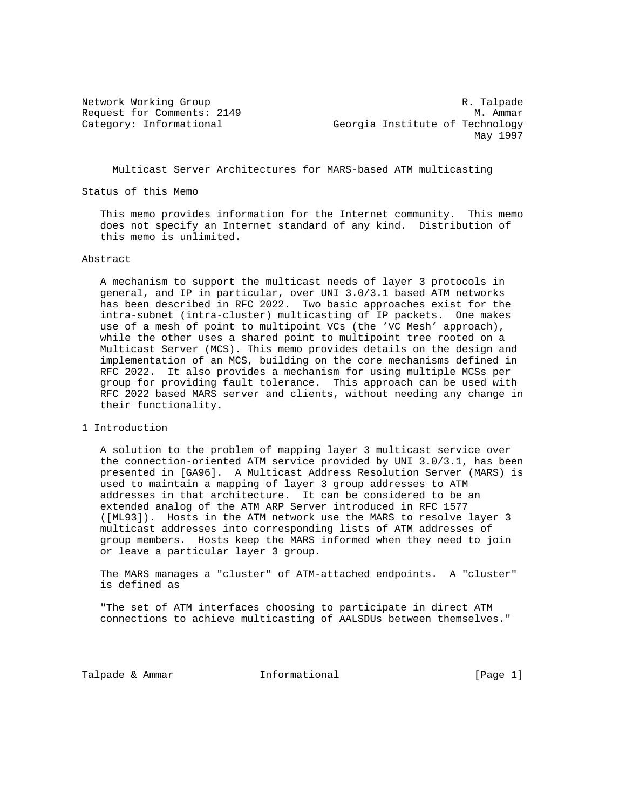Network Working Group Research Communications of the R. Talpade Request for Comments: 2149 M. Ammar Category: Informational Georgia Institute of Technology May 1997

Multicast Server Architectures for MARS-based ATM multicasting

Status of this Memo

 This memo provides information for the Internet community. This memo does not specify an Internet standard of any kind. Distribution of this memo is unlimited.

## Abstract

 A mechanism to support the multicast needs of layer 3 protocols in general, and IP in particular, over UNI 3.0/3.1 based ATM networks has been described in RFC 2022. Two basic approaches exist for the intra-subnet (intra-cluster) multicasting of IP packets. One makes use of a mesh of point to multipoint VCs (the 'VC Mesh' approach), while the other uses a shared point to multipoint tree rooted on a Multicast Server (MCS). This memo provides details on the design and implementation of an MCS, building on the core mechanisms defined in RFC 2022. It also provides a mechanism for using multiple MCSs per group for providing fault tolerance. This approach can be used with RFC 2022 based MARS server and clients, without needing any change in their functionality.

1 Introduction

 A solution to the problem of mapping layer 3 multicast service over the connection-oriented ATM service provided by UNI 3.0/3.1, has been presented in [GA96]. A Multicast Address Resolution Server (MARS) is used to maintain a mapping of layer 3 group addresses to ATM addresses in that architecture. It can be considered to be an extended analog of the ATM ARP Server introduced in RFC 1577 ([ML93]). Hosts in the ATM network use the MARS to resolve layer 3 multicast addresses into corresponding lists of ATM addresses of group members. Hosts keep the MARS informed when they need to join or leave a particular layer 3 group.

 The MARS manages a "cluster" of ATM-attached endpoints. A "cluster" is defined as

 "The set of ATM interfaces choosing to participate in direct ATM connections to achieve multicasting of AALSDUs between themselves."

Talpade & Ammar **Informational Informational Informational** [Page 1]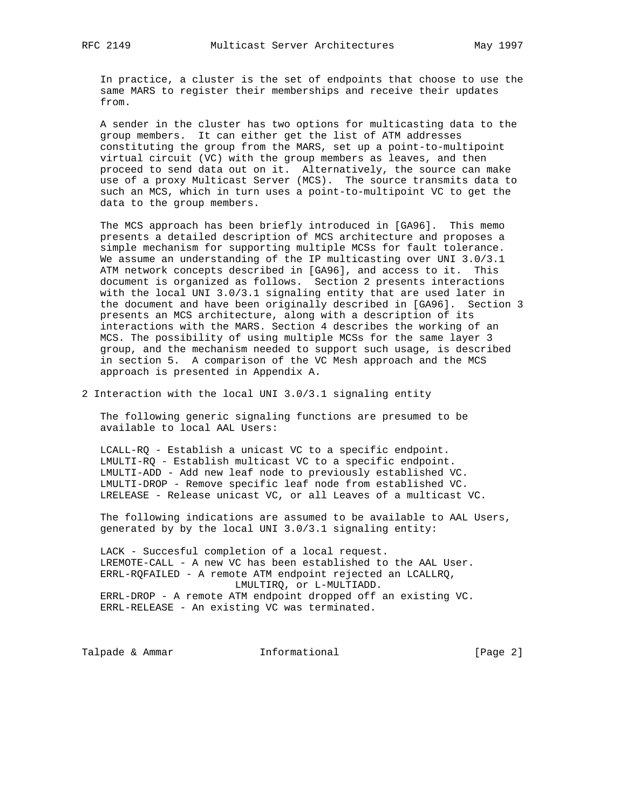In practice, a cluster is the set of endpoints that choose to use the same MARS to register their memberships and receive their updates from.

 A sender in the cluster has two options for multicasting data to the group members. It can either get the list of ATM addresses constituting the group from the MARS, set up a point-to-multipoint virtual circuit (VC) with the group members as leaves, and then proceed to send data out on it. Alternatively, the source can make use of a proxy Multicast Server (MCS). The source transmits data to such an MCS, which in turn uses a point-to-multipoint VC to get the data to the group members.

 The MCS approach has been briefly introduced in [GA96]. This memo presents a detailed description of MCS architecture and proposes a simple mechanism for supporting multiple MCSs for fault tolerance. We assume an understanding of the IP multicasting over UNI 3.0/3.1 ATM network concepts described in [GA96], and access to it. This document is organized as follows. Section 2 presents interactions with the local UNI 3.0/3.1 signaling entity that are used later in the document and have been originally described in [GA96]. Section 3 presents an MCS architecture, along with a description of its interactions with the MARS. Section 4 describes the working of an MCS. The possibility of using multiple MCSs for the same layer 3 group, and the mechanism needed to support such usage, is described in section 5. A comparison of the VC Mesh approach and the MCS approach is presented in Appendix A.

2 Interaction with the local UNI 3.0/3.1 signaling entity

 The following generic signaling functions are presumed to be available to local AAL Users:

 LCALL-RQ - Establish a unicast VC to a specific endpoint. LMULTI-RQ - Establish multicast VC to a specific endpoint. LMULTI-ADD - Add new leaf node to previously established VC. LMULTI-DROP - Remove specific leaf node from established VC. LRELEASE - Release unicast VC, or all Leaves of a multicast VC.

 The following indications are assumed to be available to AAL Users, generated by by the local UNI 3.0/3.1 signaling entity:

 LACK - Succesful completion of a local request. LREMOTE-CALL - A new VC has been established to the AAL User. ERRL-RQFAILED - A remote ATM endpoint rejected an LCALLRQ, LMULTIRQ, or L-MULTIADD. ERRL-DROP - A remote ATM endpoint dropped off an existing VC. ERRL-RELEASE - An existing VC was terminated.

Talpade & Ammar **Informational Informational** [Page 2]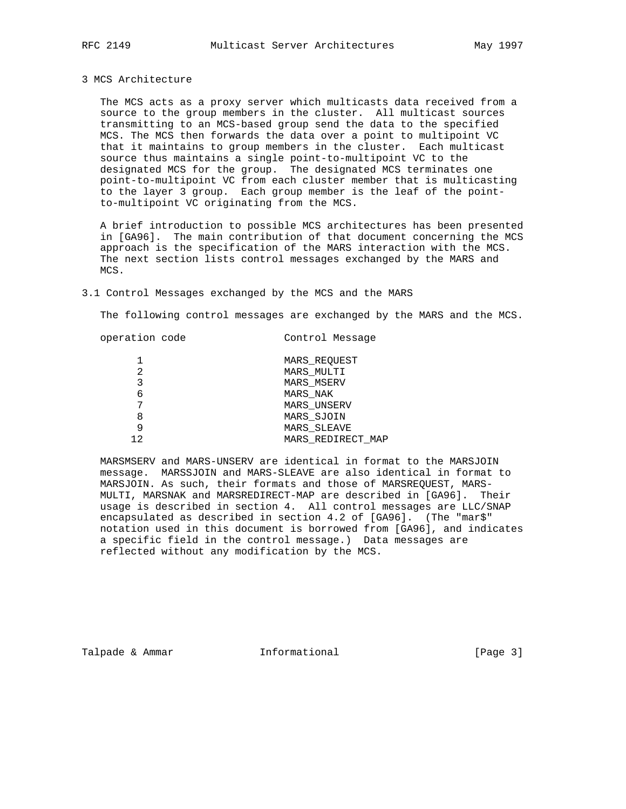## 3 MCS Architecture

 The MCS acts as a proxy server which multicasts data received from a source to the group members in the cluster. All multicast sources transmitting to an MCS-based group send the data to the specified MCS. The MCS then forwards the data over a point to multipoint VC that it maintains to group members in the cluster. Each multicast source thus maintains a single point-to-multipoint VC to the designated MCS for the group. The designated MCS terminates one point-to-multipoint VC from each cluster member that is multicasting to the layer 3 group. Each group member is the leaf of the point to-multipoint VC originating from the MCS.

 A brief introduction to possible MCS architectures has been presented in [GA96]. The main contribution of that document concerning the MCS approach is the specification of the MARS interaction with the MCS. The next section lists control messages exchanged by the MARS and MCS.

### 3.1 Control Messages exchanged by the MCS and the MARS

The following control messages are exchanged by the MARS and the MCS.

| operation code |  |
|----------------|--|
|                |  |

Control Message

|     | MARS REQUEST       |
|-----|--------------------|
| 2   | MARS MULTI         |
|     | <b>MARS MSERV</b>  |
| 6   | MARS NAK           |
|     | <b>MARS UNSERV</b> |
| 8   | MARS SJOIN         |
|     | <b>MARS SLEAVE</b> |
| 1 ລ | MARS REDIRECT MAP  |

 MARSMSERV and MARS-UNSERV are identical in format to the MARSJOIN message. MARSSJOIN and MARS-SLEAVE are also identical in format to MARSJOIN. As such, their formats and those of MARSREQUEST, MARS- MULTI, MARSNAK and MARSREDIRECT-MAP are described in [GA96]. Their usage is described in section 4. All control messages are LLC/SNAP encapsulated as described in section 4.2 of [GA96]. (The "mar\$" notation used in this document is borrowed from [GA96], and indicates a specific field in the control message.) Data messages are reflected without any modification by the MCS.

Talpade & Ammar **Informational Informational** [Page 3]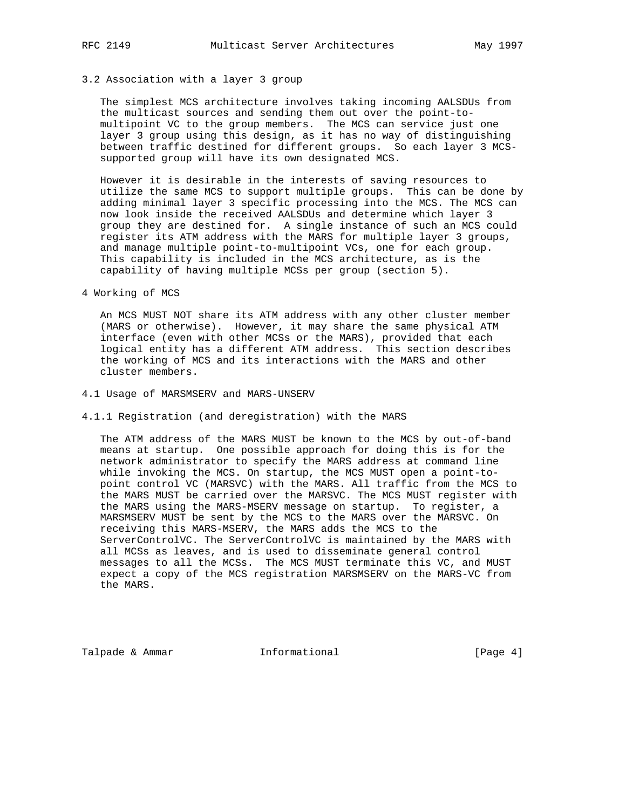## 3.2 Association with a layer 3 group

 The simplest MCS architecture involves taking incoming AALSDUs from the multicast sources and sending them out over the point-to multipoint VC to the group members. The MCS can service just one layer 3 group using this design, as it has no way of distinguishing between traffic destined for different groups. So each layer 3 MCS supported group will have its own designated MCS.

 However it is desirable in the interests of saving resources to utilize the same MCS to support multiple groups. This can be done by adding minimal layer 3 specific processing into the MCS. The MCS can now look inside the received AALSDUs and determine which layer 3 group they are destined for. A single instance of such an MCS could register its ATM address with the MARS for multiple layer 3 groups, and manage multiple point-to-multipoint VCs, one for each group. This capability is included in the MCS architecture, as is the capability of having multiple MCSs per group (section 5).

4 Working of MCS

 An MCS MUST NOT share its ATM address with any other cluster member (MARS or otherwise). However, it may share the same physical ATM interface (even with other MCSs or the MARS), provided that each logical entity has a different ATM address. This section describes the working of MCS and its interactions with the MARS and other cluster members.

### 4.1 Usage of MARSMSERV and MARS-UNSERV

### 4.1.1 Registration (and deregistration) with the MARS

 The ATM address of the MARS MUST be known to the MCS by out-of-band means at startup. One possible approach for doing this is for the network administrator to specify the MARS address at command line while invoking the MCS. On startup, the MCS MUST open a point-to point control VC (MARSVC) with the MARS. All traffic from the MCS to the MARS MUST be carried over the MARSVC. The MCS MUST register with the MARS using the MARS-MSERV message on startup. To register, a MARSMSERV MUST be sent by the MCS to the MARS over the MARSVC. On receiving this MARS-MSERV, the MARS adds the MCS to the ServerControlVC. The ServerControlVC is maintained by the MARS with all MCSs as leaves, and is used to disseminate general control messages to all the MCSs. The MCS MUST terminate this VC, and MUST expect a copy of the MCS registration MARSMSERV on the MARS-VC from the MARS.

Talpade & Ammar **Informational Informational** [Page 4]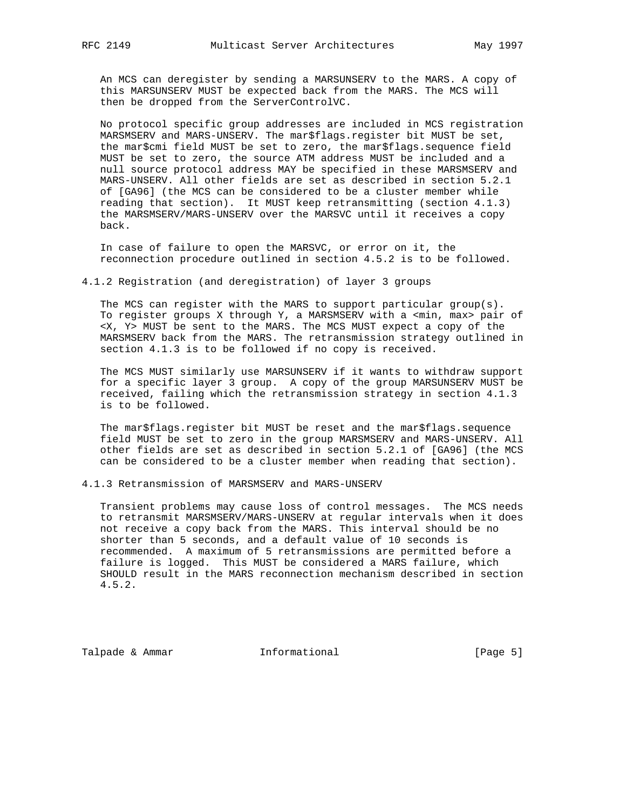An MCS can deregister by sending a MARSUNSERV to the MARS. A copy of this MARSUNSERV MUST be expected back from the MARS. The MCS will then be dropped from the ServerControlVC.

 No protocol specific group addresses are included in MCS registration MARSMSERV and MARS-UNSERV. The mar\$flags.register bit MUST be set, the mar\$cmi field MUST be set to zero, the mar\$flags.sequence field MUST be set to zero, the source ATM address MUST be included and a null source protocol address MAY be specified in these MARSMSERV and MARS-UNSERV. All other fields are set as described in section 5.2.1 of [GA96] (the MCS can be considered to be a cluster member while reading that section). It MUST keep retransmitting (section 4.1.3) the MARSMSERV/MARS-UNSERV over the MARSVC until it receives a copy back.

 In case of failure to open the MARSVC, or error on it, the reconnection procedure outlined in section 4.5.2 is to be followed.

4.1.2 Registration (and deregistration) of layer 3 groups

 The MCS can register with the MARS to support particular group(s). To register groups X through Y, a MARSMSERV with a <min, max> pair of <X, Y> MUST be sent to the MARS. The MCS MUST expect a copy of the MARSMSERV back from the MARS. The retransmission strategy outlined in section 4.1.3 is to be followed if no copy is received.

 The MCS MUST similarly use MARSUNSERV if it wants to withdraw support for a specific layer 3 group. A copy of the group MARSUNSERV MUST be received, failing which the retransmission strategy in section 4.1.3 is to be followed.

 The mar\$flags.register bit MUST be reset and the mar\$flags.sequence field MUST be set to zero in the group MARSMSERV and MARS-UNSERV. All other fields are set as described in section 5.2.1 of [GA96] (the MCS can be considered to be a cluster member when reading that section).

4.1.3 Retransmission of MARSMSERV and MARS-UNSERV

 Transient problems may cause loss of control messages. The MCS needs to retransmit MARSMSERV/MARS-UNSERV at regular intervals when it does not receive a copy back from the MARS. This interval should be no shorter than 5 seconds, and a default value of 10 seconds is recommended. A maximum of 5 retransmissions are permitted before a failure is logged. This MUST be considered a MARS failure, which SHOULD result in the MARS reconnection mechanism described in section 4.5.2.

Talpade & Ammar **Informational** [Page 5]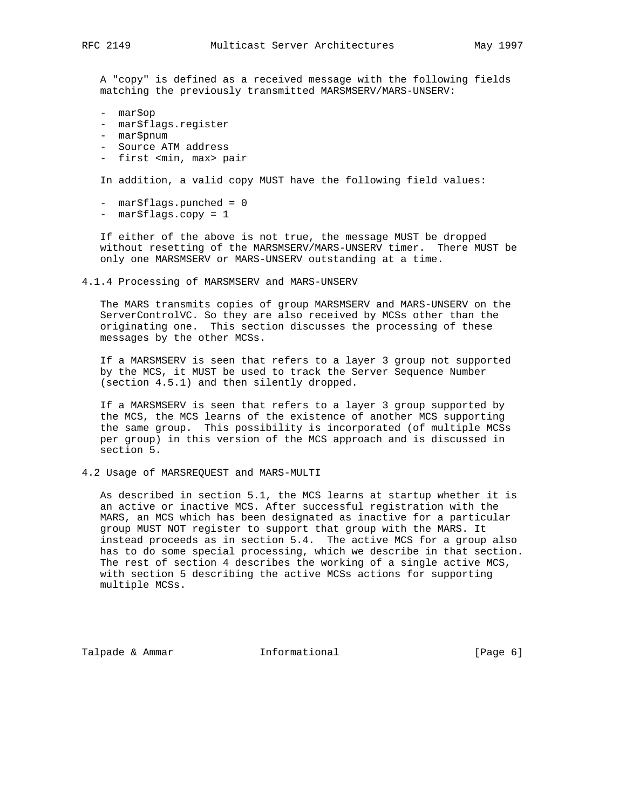A "copy" is defined as a received message with the following fields matching the previously transmitted MARSMSERV/MARS-UNSERV:

- mar\$op
- mar\$flags.register
- mar\$pnum
- Source ATM address
- first <min, max> pair

In addition, a valid copy MUST have the following field values:

- mar\$flags.punched = 0
- mar\$flags.copy = 1

 If either of the above is not true, the message MUST be dropped without resetting of the MARSMSERV/MARS-UNSERV timer. There MUST be only one MARSMSERV or MARS-UNSERV outstanding at a time.

4.1.4 Processing of MARSMSERV and MARS-UNSERV

 The MARS transmits copies of group MARSMSERV and MARS-UNSERV on the ServerControlVC. So they are also received by MCSs other than the originating one. This section discusses the processing of these messages by the other MCSs.

 If a MARSMSERV is seen that refers to a layer 3 group not supported by the MCS, it MUST be used to track the Server Sequence Number (section 4.5.1) and then silently dropped.

 If a MARSMSERV is seen that refers to a layer 3 group supported by the MCS, the MCS learns of the existence of another MCS supporting the same group. This possibility is incorporated (of multiple MCSs per group) in this version of the MCS approach and is discussed in section 5.

4.2 Usage of MARSREQUEST and MARS-MULTI

 As described in section 5.1, the MCS learns at startup whether it is an active or inactive MCS. After successful registration with the MARS, an MCS which has been designated as inactive for a particular group MUST NOT register to support that group with the MARS. It instead proceeds as in section 5.4. The active MCS for a group also has to do some special processing, which we describe in that section. The rest of section 4 describes the working of a single active MCS, with section 5 describing the active MCSs actions for supporting multiple MCSs.

Talpade & Ammar **Informational Informational** [Page 6]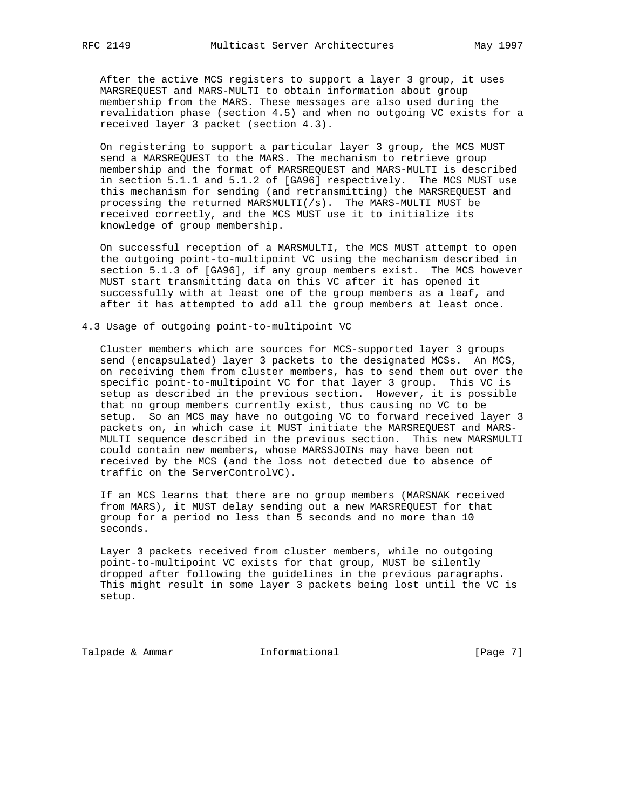After the active MCS registers to support a layer 3 group, it uses MARSREQUEST and MARS-MULTI to obtain information about group membership from the MARS. These messages are also used during the revalidation phase (section 4.5) and when no outgoing VC exists for a received layer 3 packet (section 4.3).

 On registering to support a particular layer 3 group, the MCS MUST send a MARSREQUEST to the MARS. The mechanism to retrieve group membership and the format of MARSREQUEST and MARS-MULTI is described in section 5.1.1 and 5.1.2 of [GA96] respectively. The MCS MUST use this mechanism for sending (and retransmitting) the MARSREQUEST and processing the returned MARSMULTI(/s). The MARS-MULTI MUST be received correctly, and the MCS MUST use it to initialize its knowledge of group membership.

 On successful reception of a MARSMULTI, the MCS MUST attempt to open the outgoing point-to-multipoint VC using the mechanism described in section 5.1.3 of [GA96], if any group members exist. The MCS however MUST start transmitting data on this VC after it has opened it successfully with at least one of the group members as a leaf, and after it has attempted to add all the group members at least once.

4.3 Usage of outgoing point-to-multipoint VC

 Cluster members which are sources for MCS-supported layer 3 groups send (encapsulated) layer 3 packets to the designated MCSs. An MCS, on receiving them from cluster members, has to send them out over the specific point-to-multipoint VC for that layer 3 group. This VC is setup as described in the previous section. However, it is possible that no group members currently exist, thus causing no VC to be setup. So an MCS may have no outgoing VC to forward received layer 3 packets on, in which case it MUST initiate the MARSREQUEST and MARS- MULTI sequence described in the previous section. This new MARSMULTI could contain new members, whose MARSSJOINs may have been not received by the MCS (and the loss not detected due to absence of traffic on the ServerControlVC).

 If an MCS learns that there are no group members (MARSNAK received from MARS), it MUST delay sending out a new MARSREQUEST for that group for a period no less than 5 seconds and no more than 10 seconds.

 Layer 3 packets received from cluster members, while no outgoing point-to-multipoint VC exists for that group, MUST be silently dropped after following the guidelines in the previous paragraphs. This might result in some layer 3 packets being lost until the VC is setup.

Talpade & Ammar **Informational** [Page 7]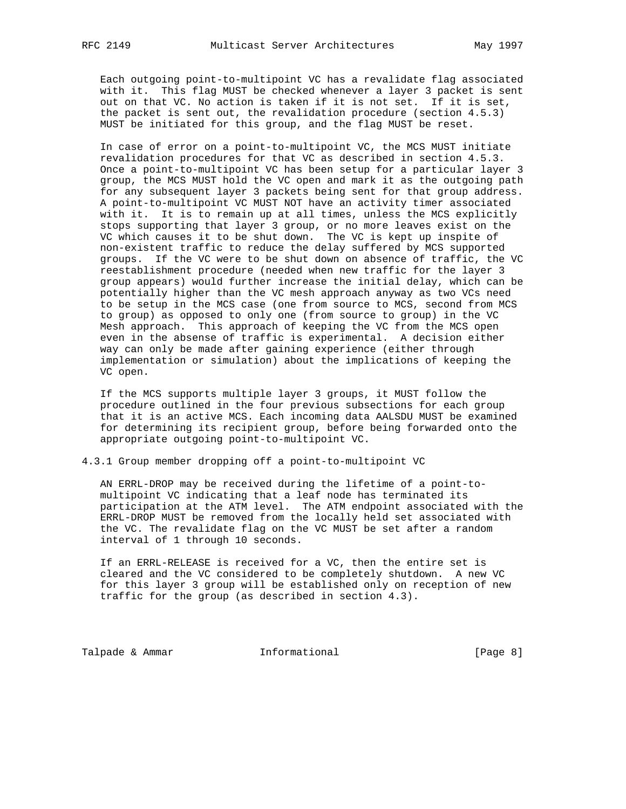Each outgoing point-to-multipoint VC has a revalidate flag associated with it. This flag MUST be checked whenever a layer 3 packet is sent out on that VC. No action is taken if it is not set. If it is set, the packet is sent out, the revalidation procedure (section 4.5.3) MUST be initiated for this group, and the flag MUST be reset.

 In case of error on a point-to-multipoint VC, the MCS MUST initiate revalidation procedures for that VC as described in section 4.5.3. Once a point-to-multipoint VC has been setup for a particular layer 3 group, the MCS MUST hold the VC open and mark it as the outgoing path for any subsequent layer 3 packets being sent for that group address. A point-to-multipoint VC MUST NOT have an activity timer associated with it. It is to remain up at all times, unless the MCS explicitly stops supporting that layer 3 group, or no more leaves exist on the VC which causes it to be shut down. The VC is kept up inspite of non-existent traffic to reduce the delay suffered by MCS supported groups. If the VC were to be shut down on absence of traffic, the VC reestablishment procedure (needed when new traffic for the layer 3 group appears) would further increase the initial delay, which can be potentially higher than the VC mesh approach anyway as two VCs need to be setup in the MCS case (one from source to MCS, second from MCS to group) as opposed to only one (from source to group) in the VC Mesh approach. This approach of keeping the VC from the MCS open even in the absense of traffic is experimental. A decision either way can only be made after gaining experience (either through implementation or simulation) about the implications of keeping the VC open.

 If the MCS supports multiple layer 3 groups, it MUST follow the procedure outlined in the four previous subsections for each group that it is an active MCS. Each incoming data AALSDU MUST be examined for determining its recipient group, before being forwarded onto the appropriate outgoing point-to-multipoint VC.

4.3.1 Group member dropping off a point-to-multipoint VC

 AN ERRL-DROP may be received during the lifetime of a point-to multipoint VC indicating that a leaf node has terminated its participation at the ATM level. The ATM endpoint associated with the ERRL-DROP MUST be removed from the locally held set associated with the VC. The revalidate flag on the VC MUST be set after a random interval of 1 through 10 seconds.

 If an ERRL-RELEASE is received for a VC, then the entire set is cleared and the VC considered to be completely shutdown. A new VC for this layer 3 group will be established only on reception of new traffic for the group (as described in section 4.3).

Talpade & Ammar **Informational Informational** [Page 8]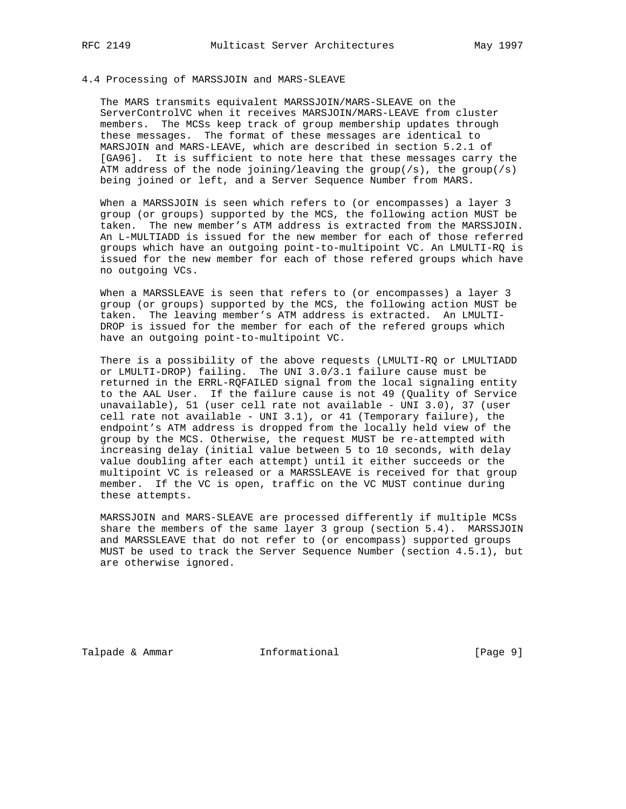# 4.4 Processing of MARSSJOIN and MARS-SLEAVE

 The MARS transmits equivalent MARSSJOIN/MARS-SLEAVE on the ServerControlVC when it receives MARSJOIN/MARS-LEAVE from cluster members. The MCSs keep track of group membership updates through these messages. The format of these messages are identical to MARSJOIN and MARS-LEAVE, which are described in section 5.2.1 of [GA96]. It is sufficient to note here that these messages carry the ATM address of the node joining/leaving the group( $/s$ ), the group( $/s$ ) being joined or left, and a Server Sequence Number from MARS.

 When a MARSSJOIN is seen which refers to (or encompasses) a layer 3 group (or groups) supported by the MCS, the following action MUST be taken. The new member's ATM address is extracted from the MARSSJOIN. An L-MULTIADD is issued for the new member for each of those referred groups which have an outgoing point-to-multipoint VC. An LMULTI-RQ is issued for the new member for each of those refered groups which have no outgoing VCs.

 When a MARSSLEAVE is seen that refers to (or encompasses) a layer 3 group (or groups) supported by the MCS, the following action MUST be taken. The leaving member's ATM address is extracted. An LMULTI- DROP is issued for the member for each of the refered groups which have an outgoing point-to-multipoint VC.

 There is a possibility of the above requests (LMULTI-RQ or LMULTIADD or LMULTI-DROP) failing. The UNI 3.0/3.1 failure cause must be returned in the ERRL-RQFAILED signal from the local signaling entity to the AAL User. If the failure cause is not 49 (Quality of Service unavailable), 51 (user cell rate not available - UNI 3.0), 37 (user cell rate not available - UNI 3.1), or 41 (Temporary failure), the endpoint's ATM address is dropped from the locally held view of the group by the MCS. Otherwise, the request MUST be re-attempted with increasing delay (initial value between 5 to 10 seconds, with delay value doubling after each attempt) until it either succeeds or the multipoint VC is released or a MARSSLEAVE is received for that group member. If the VC is open, traffic on the VC MUST continue during these attempts.

 MARSSJOIN and MARS-SLEAVE are processed differently if multiple MCSs share the members of the same layer 3 group (section 5.4). MARSSJOIN and MARSSLEAVE that do not refer to (or encompass) supported groups MUST be used to track the Server Sequence Number (section 4.5.1), but are otherwise ignored.

Talpade & Ammar **Informational Informational** [Page 9]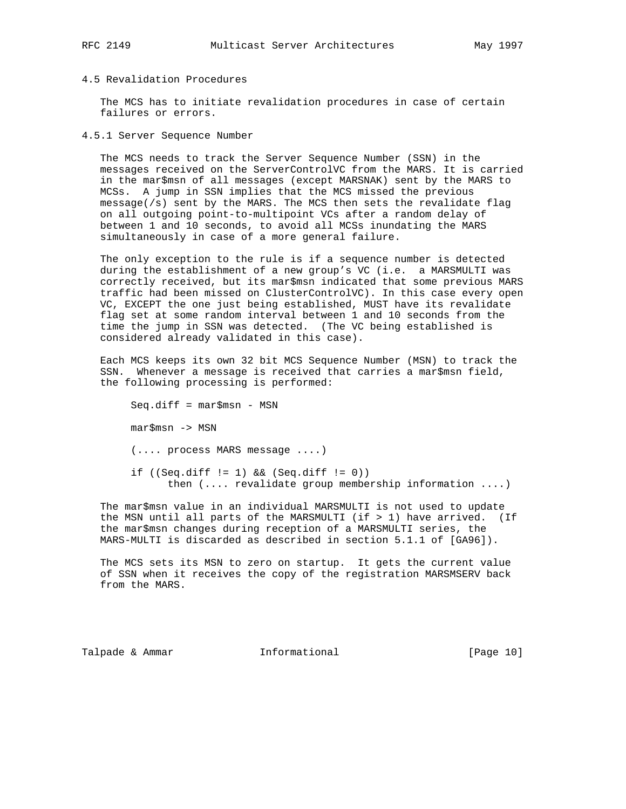## 4.5 Revalidation Procedures

 The MCS has to initiate revalidation procedures in case of certain failures or errors.

4.5.1 Server Sequence Number

 The MCS needs to track the Server Sequence Number (SSN) in the messages received on the ServerControlVC from the MARS. It is carried in the mar\$msn of all messages (except MARSNAK) sent by the MARS to MCSs. A jump in SSN implies that the MCS missed the previous message(/s) sent by the MARS. The MCS then sets the revalidate flag on all outgoing point-to-multipoint VCs after a random delay of between 1 and 10 seconds, to avoid all MCSs inundating the MARS simultaneously in case of a more general failure.

 The only exception to the rule is if a sequence number is detected during the establishment of a new group's VC (i.e. a MARSMULTI was correctly received, but its mar\$msn indicated that some previous MARS traffic had been missed on ClusterControlVC). In this case every open VC, EXCEPT the one just being established, MUST have its revalidate flag set at some random interval between 1 and 10 seconds from the time the jump in SSN was detected. (The VC being established is considered already validated in this case).

 Each MCS keeps its own 32 bit MCS Sequence Number (MSN) to track the SSN. Whenever a message is received that carries a mar\$msn field, the following processing is performed:

 Seq.diff = mar\$msn - MSN mar\$msn -> MSN (.... process MARS message ....) if  $((Seq.diff != 1) & & (Seq.diff != 0))$ then (.... revalidate group membership information ....)

 The mar\$msn value in an individual MARSMULTI is not used to update the MSN until all parts of the MARSMULTI (if > 1) have arrived. (If the mar\$msn changes during reception of a MARSMULTI series, the MARS-MULTI is discarded as described in section 5.1.1 of [GA96]).

 The MCS sets its MSN to zero on startup. It gets the current value of SSN when it receives the copy of the registration MARSMSERV back from the MARS.

Talpade & Ammar **Informational** [Page 10]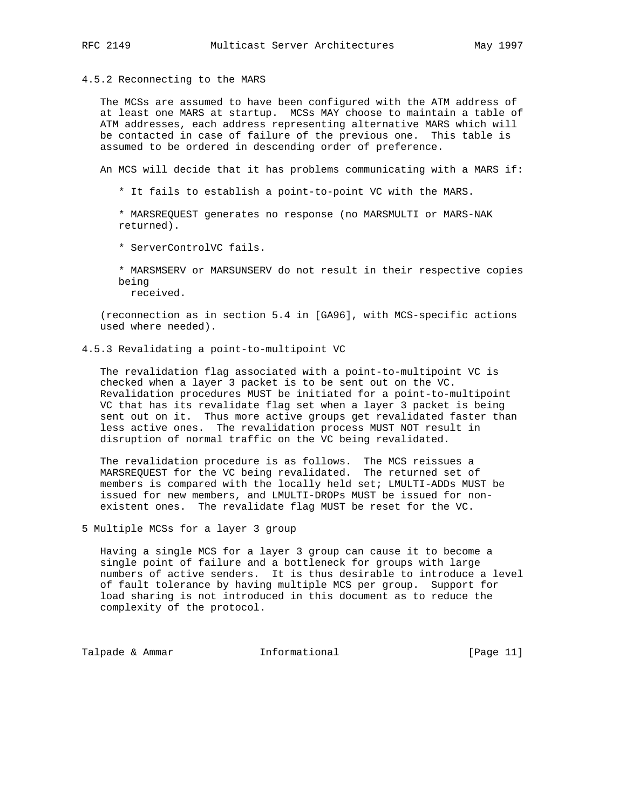### 4.5.2 Reconnecting to the MARS

 The MCSs are assumed to have been configured with the ATM address of at least one MARS at startup. MCSs MAY choose to maintain a table of ATM addresses, each address representing alternative MARS which will be contacted in case of failure of the previous one. This table is assumed to be ordered in descending order of preference.

An MCS will decide that it has problems communicating with a MARS if:

- \* It fails to establish a point-to-point VC with the MARS.
- \* MARSREQUEST generates no response (no MARSMULTI or MARS-NAK returned).
- \* ServerControlVC fails.
- \* MARSMSERV or MARSUNSERV do not result in their respective copies being

received.

 (reconnection as in section 5.4 in [GA96], with MCS-specific actions used where needed).

4.5.3 Revalidating a point-to-multipoint VC

 The revalidation flag associated with a point-to-multipoint VC is checked when a layer 3 packet is to be sent out on the VC. Revalidation procedures MUST be initiated for a point-to-multipoint VC that has its revalidate flag set when a layer 3 packet is being sent out on it. Thus more active groups get revalidated faster than less active ones. The revalidation process MUST NOT result in disruption of normal traffic on the VC being revalidated.

 The revalidation procedure is as follows. The MCS reissues a MARSREQUEST for the VC being revalidated. The returned set of members is compared with the locally held set; LMULTI-ADDs MUST be issued for new members, and LMULTI-DROPs MUST be issued for non existent ones. The revalidate flag MUST be reset for the VC.

5 Multiple MCSs for a layer 3 group

 Having a single MCS for a layer 3 group can cause it to become a single point of failure and a bottleneck for groups with large numbers of active senders. It is thus desirable to introduce a level of fault tolerance by having multiple MCS per group. Support for load sharing is not introduced in this document as to reduce the complexity of the protocol.

Talpade & Ammar **Informational** [Page 11]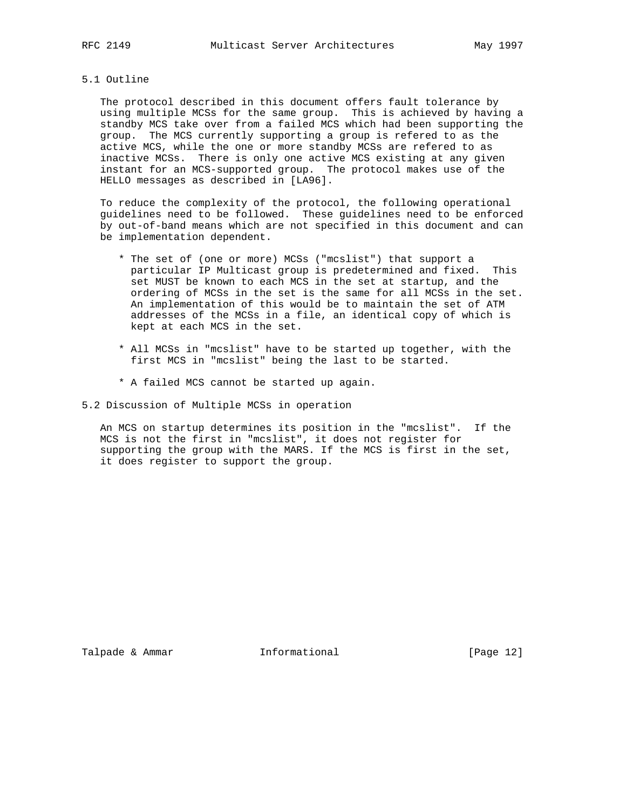## 5.1 Outline

 The protocol described in this document offers fault tolerance by using multiple MCSs for the same group. This is achieved by having a standby MCS take over from a failed MCS which had been supporting the group. The MCS currently supporting a group is refered to as the active MCS, while the one or more standby MCSs are refered to as inactive MCSs. There is only one active MCS existing at any given instant for an MCS-supported group. The protocol makes use of the HELLO messages as described in [LA96].

 To reduce the complexity of the protocol, the following operational guidelines need to be followed. These guidelines need to be enforced by out-of-band means which are not specified in this document and can be implementation dependent.

- \* The set of (one or more) MCSs ("mcslist") that support a particular IP Multicast group is predetermined and fixed. This set MUST be known to each MCS in the set at startup, and the ordering of MCSs in the set is the same for all MCSs in the set. An implementation of this would be to maintain the set of ATM addresses of the MCSs in a file, an identical copy of which is kept at each MCS in the set.
- \* All MCSs in "mcslist" have to be started up together, with the first MCS in "mcslist" being the last to be started.
- \* A failed MCS cannot be started up again.
- 5.2 Discussion of Multiple MCSs in operation

 An MCS on startup determines its position in the "mcslist". If the MCS is not the first in "mcslist", it does not register for supporting the group with the MARS. If the MCS is first in the set, it does register to support the group.

Talpade & Ammar **Informational** [Page 12]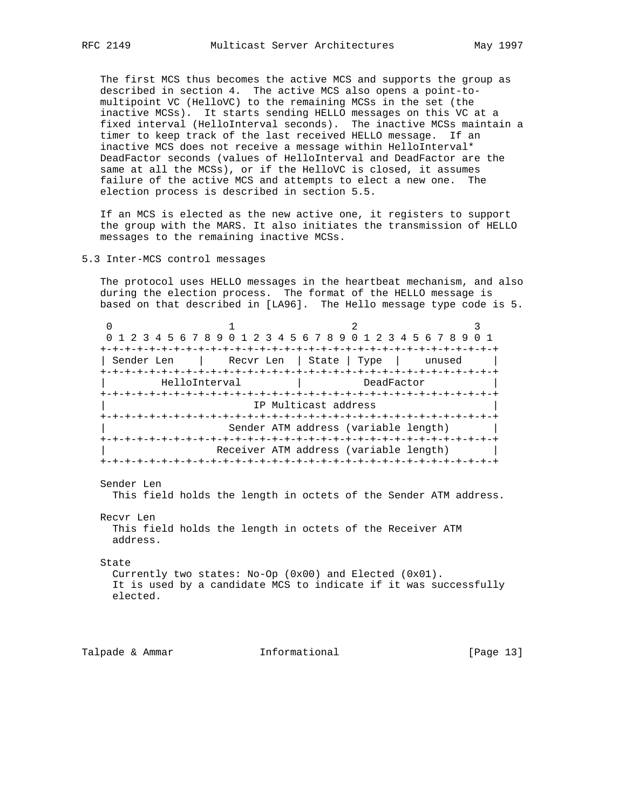The first MCS thus becomes the active MCS and supports the group as described in section 4. The active MCS also opens a point-to multipoint VC (HelloVC) to the remaining MCSs in the set (the inactive MCSs). It starts sending HELLO messages on this VC at a fixed interval (HelloInterval seconds). The inactive MCSs maintain a timer to keep track of the last received HELLO message. If an inactive MCS does not receive a message within HelloInterval\* DeadFactor seconds (values of HelloInterval and DeadFactor are the same at all the MCSs), or if the HelloVC is closed, it assumes failure of the active MCS and attempts to elect a new one. The election process is described in section 5.5.

 If an MCS is elected as the new active one, it registers to support the group with the MARS. It also initiates the transmission of HELLO messages to the remaining inactive MCSs.

## 5.3 Inter-MCS control messages

 The protocol uses HELLO messages in the heartbeat mechanism, and also during the election process. The format of the HELLO message is based on that described in [LA96]. The Hello message type code is 5.

0  $1$  2 3 0 1 2 3 4 5 6 7 8 9 0 1 2 3 4 5 6 7 8 9 0 1 2 3 4 5 6 7 8 9 0 1 +-+-+-+-+-+-+-+-+-+-+-+-+-+-+-+-+-+-+-+-+-+-+-+-+-+-+-+-+-+-+-+-+ | Sender Len | Recvr Len | State | Type | unused | +-+-+-+-+-+-+-+-+-+-+-+-+-+-+-+-+-+-+-+-+-+-+-+-+-+-+-+-+-+-+-+-+ | HelloInterval | DeadFactor | +-+-+-+-+-+-+-+-+-+-+-+-+-+-+-+-+-+-+-+-+-+-+-+-+-+-+-+-+-+-+-+-+ IP Multicast address +-+-+-+-+-+-+-+-+-+-+-+-+-+-+-+-+-+-+-+-+-+-+-+-+-+-+-+-+-+-+-+-+ | Sender ATM address (variable length) | +-+-+-+-+-+-+-+-+-+-+-+-+-+-+-+-+-+-+-+-+-+-+-+-+-+-+-+-+-+-+-+-+ Receiver ATM address (variable length) +-+-+-+-+-+-+-+-+-+-+-+-+-+-+-+-+-+-+-+-+-+-+-+-+-+-+-+-+-+-+-+-+

Sender Len

This field holds the length in octets of the Sender ATM address.

Recvr Len

 This field holds the length in octets of the Receiver ATM address.

### State

 Currently two states: No-Op (0x00) and Elected (0x01). It is used by a candidate MCS to indicate if it was successfully elected.

Talpade & Ammar **Informational** [Page 13]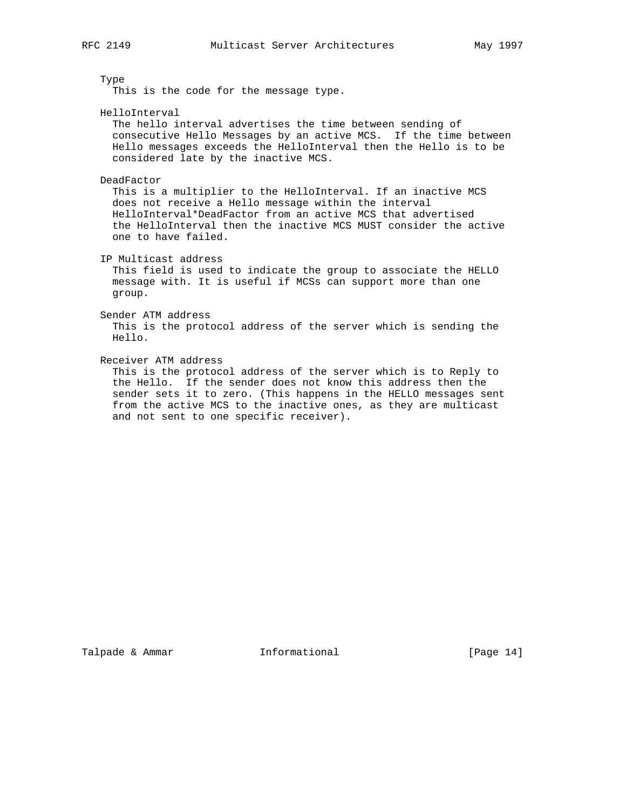Type

This is the code for the message type.

HelloInterval

 The hello interval advertises the time between sending of consecutive Hello Messages by an active MCS. If the time between Hello messages exceeds the HelloInterval then the Hello is to be considered late by the inactive MCS.

DeadFactor

 This is a multiplier to the HelloInterval. If an inactive MCS does not receive a Hello message within the interval HelloInterval\*DeadFactor from an active MCS that advertised the HelloInterval then the inactive MCS MUST consider the active one to have failed.

IP Multicast address

 This field is used to indicate the group to associate the HELLO message with. It is useful if MCSs can support more than one group.

Sender ATM address

 This is the protocol address of the server which is sending the Hello.

Receiver ATM address

 This is the protocol address of the server which is to Reply to the Hello. If the sender does not know this address then the sender sets it to zero. (This happens in the HELLO messages sent from the active MCS to the inactive ones, as they are multicast and not sent to one specific receiver).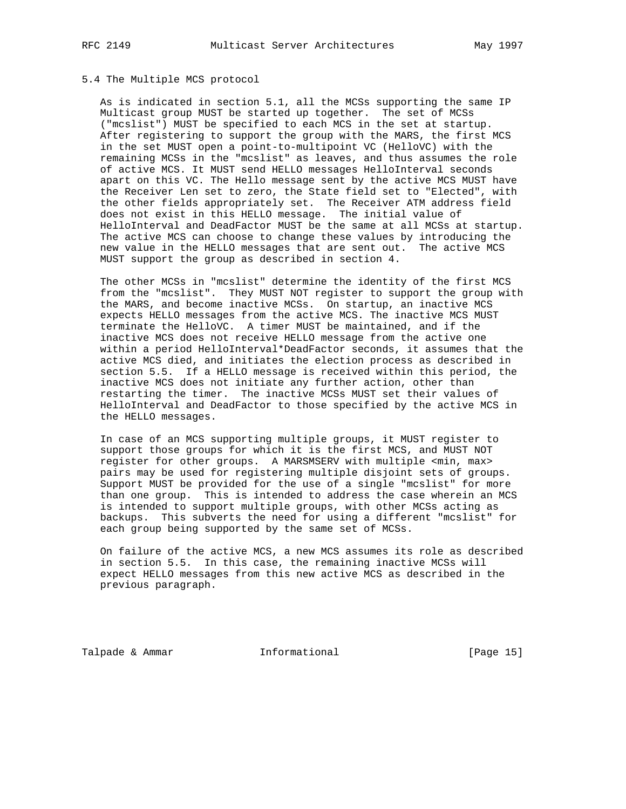## 5.4 The Multiple MCS protocol

 As is indicated in section 5.1, all the MCSs supporting the same IP Multicast group MUST be started up together. The set of MCSs ("mcslist") MUST be specified to each MCS in the set at startup. After registering to support the group with the MARS, the first MCS in the set MUST open a point-to-multipoint VC (HelloVC) with the remaining MCSs in the "mcslist" as leaves, and thus assumes the role of active MCS. It MUST send HELLO messages HelloInterval seconds apart on this VC. The Hello message sent by the active MCS MUST have the Receiver Len set to zero, the State field set to "Elected", with the other fields appropriately set. The Receiver ATM address field does not exist in this HELLO message. The initial value of HelloInterval and DeadFactor MUST be the same at all MCSs at startup. The active MCS can choose to change these values by introducing the new value in the HELLO messages that are sent out. The active MCS MUST support the group as described in section 4.

 The other MCSs in "mcslist" determine the identity of the first MCS from the "mcslist". They MUST NOT register to support the group with the MARS, and become inactive MCSs. On startup, an inactive MCS expects HELLO messages from the active MCS. The inactive MCS MUST terminate the HelloVC. A timer MUST be maintained, and if the inactive MCS does not receive HELLO message from the active one within a period HelloInterval\*DeadFactor seconds, it assumes that the active MCS died, and initiates the election process as described in section 5.5. If a HELLO message is received within this period, the inactive MCS does not initiate any further action, other than restarting the timer. The inactive MCSs MUST set their values of HelloInterval and DeadFactor to those specified by the active MCS in the HELLO messages.

 In case of an MCS supporting multiple groups, it MUST register to support those groups for which it is the first MCS, and MUST NOT register for other groups. A MARSMSERV with multiple <min, max> pairs may be used for registering multiple disjoint sets of groups. Support MUST be provided for the use of a single "mcslist" for more than one group. This is intended to address the case wherein an MCS is intended to support multiple groups, with other MCSs acting as backups. This subverts the need for using a different "mcslist" for each group being supported by the same set of MCSs.

 On failure of the active MCS, a new MCS assumes its role as described in section 5.5. In this case, the remaining inactive MCSs will expect HELLO messages from this new active MCS as described in the previous paragraph.

Talpade & Ammar **Informational** [Page 15]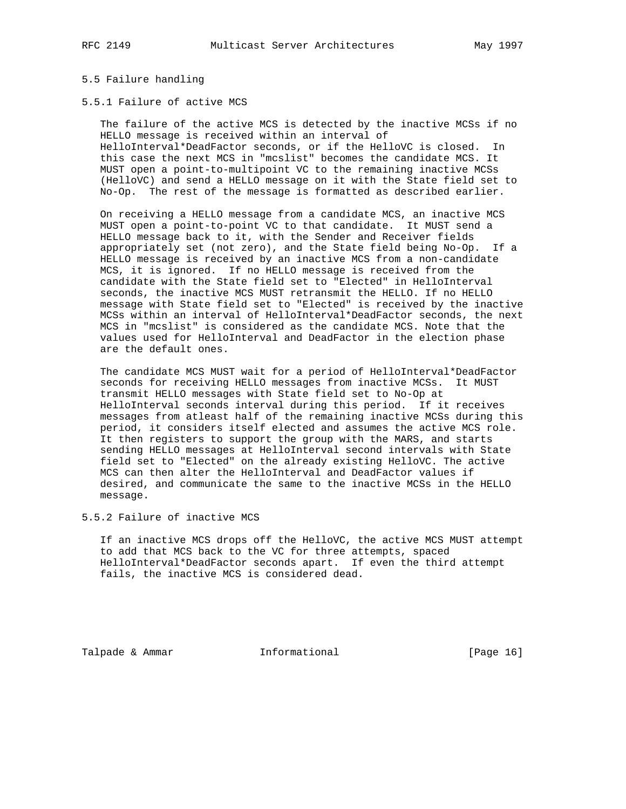# 5.5 Failure handling

## 5.5.1 Failure of active MCS

 The failure of the active MCS is detected by the inactive MCSs if no HELLO message is received within an interval of HelloInterval\*DeadFactor seconds, or if the HelloVC is closed. In this case the next MCS in "mcslist" becomes the candidate MCS. It MUST open a point-to-multipoint VC to the remaining inactive MCSs (HelloVC) and send a HELLO message on it with the State field set to No-Op. The rest of the message is formatted as described earlier.

 On receiving a HELLO message from a candidate MCS, an inactive MCS MUST open a point-to-point VC to that candidate. It MUST send a HELLO message back to it, with the Sender and Receiver fields appropriately set (not zero), and the State field being No-Op. If a HELLO message is received by an inactive MCS from a non-candidate MCS, it is ignored. If no HELLO message is received from the candidate with the State field set to "Elected" in HelloInterval seconds, the inactive MCS MUST retransmit the HELLO. If no HELLO message with State field set to "Elected" is received by the inactive MCSs within an interval of HelloInterval\*DeadFactor seconds, the next MCS in "mcslist" is considered as the candidate MCS. Note that the values used for HelloInterval and DeadFactor in the election phase are the default ones.

 The candidate MCS MUST wait for a period of HelloInterval\*DeadFactor seconds for receiving HELLO messages from inactive MCSs. It MUST transmit HELLO messages with State field set to No-Op at HelloInterval seconds interval during this period. If it receives messages from atleast half of the remaining inactive MCSs during this period, it considers itself elected and assumes the active MCS role. It then registers to support the group with the MARS, and starts sending HELLO messages at HelloInterval second intervals with State field set to "Elected" on the already existing HelloVC. The active MCS can then alter the HelloInterval and DeadFactor values if desired, and communicate the same to the inactive MCSs in the HELLO message.

5.5.2 Failure of inactive MCS

 If an inactive MCS drops off the HelloVC, the active MCS MUST attempt to add that MCS back to the VC for three attempts, spaced HelloInterval\*DeadFactor seconds apart. If even the third attempt fails, the inactive MCS is considered dead.

Talpade & Ammar **Informational** [Page 16]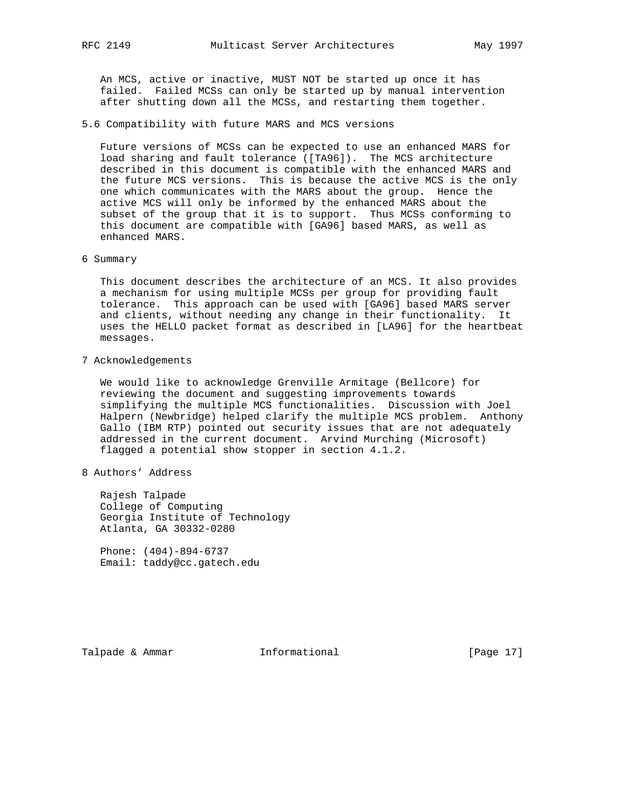An MCS, active or inactive, MUST NOT be started up once it has failed. Failed MCSs can only be started up by manual intervention after shutting down all the MCSs, and restarting them together.

5.6 Compatibility with future MARS and MCS versions

 Future versions of MCSs can be expected to use an enhanced MARS for load sharing and fault tolerance ([TA96]). The MCS architecture described in this document is compatible with the enhanced MARS and the future MCS versions. This is because the active MCS is the only one which communicates with the MARS about the group. Hence the active MCS will only be informed by the enhanced MARS about the subset of the group that it is to support. Thus MCSs conforming to this document are compatible with [GA96] based MARS, as well as enhanced MARS.

6 Summary

 This document describes the architecture of an MCS. It also provides a mechanism for using multiple MCSs per group for providing fault tolerance. This approach can be used with [GA96] based MARS server and clients, without needing any change in their functionality. It uses the HELLO packet format as described in [LA96] for the heartbeat messages.

7 Acknowledgements

 We would like to acknowledge Grenville Armitage (Bellcore) for reviewing the document and suggesting improvements towards simplifying the multiple MCS functionalities. Discussion with Joel Halpern (Newbridge) helped clarify the multiple MCS problem. Anthony Gallo (IBM RTP) pointed out security issues that are not adequately addressed in the current document. Arvind Murching (Microsoft) flagged a potential show stopper in section 4.1.2.

8 Authors' Address

 Rajesh Talpade College of Computing Georgia Institute of Technology Atlanta, GA 30332-0280

 Phone: (404)-894-6737 Email: taddy@cc.gatech.edu

Talpade & Ammar **Informational** [Page 17]